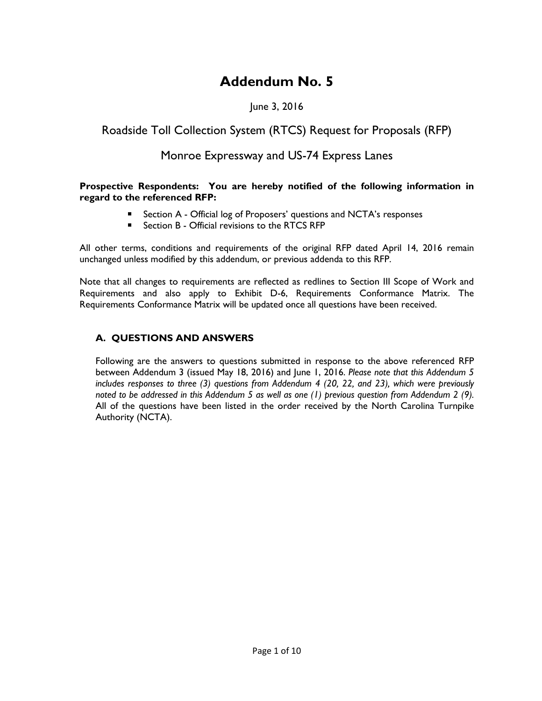# **Addendum No. 5**

## June 3, 2016

# Roadside Toll Collection System (RTCS) Request for Proposals (RFP)

# Monroe Expressway and US-74 Express Lanes

#### **Prospective Respondents: You are hereby notified of the following information in regard to the referenced RFP:**

- Section A Official log of Proposers' questions and NCTA's responses
- Section B Official revisions to the RTCS RFP

All other terms, conditions and requirements of the original RFP dated April 14, 2016 remain unchanged unless modified by this addendum, or previous addenda to this RFP.

Note that all changes to requirements are reflected as redlines to Section III Scope of Work and Requirements and also apply to Exhibit D-6, Requirements Conformance Matrix. The Requirements Conformance Matrix will be updated once all questions have been received.

### **A. QUESTIONS AND ANSWERS**

Following are the answers to questions submitted in response to the above referenced RFP between Addendum 3 (issued May 18, 2016) and June 1, 2016. *Please note that this Addendum 5 includes responses to three (3) questions from Addendum 4 (20, 22, and 23), which were previously noted to be addressed in this Addendum 5 as well as one (1) previous question from Addendum 2 (9).* All of the questions have been listed in the order received by the North Carolina Turnpike Authority (NCTA).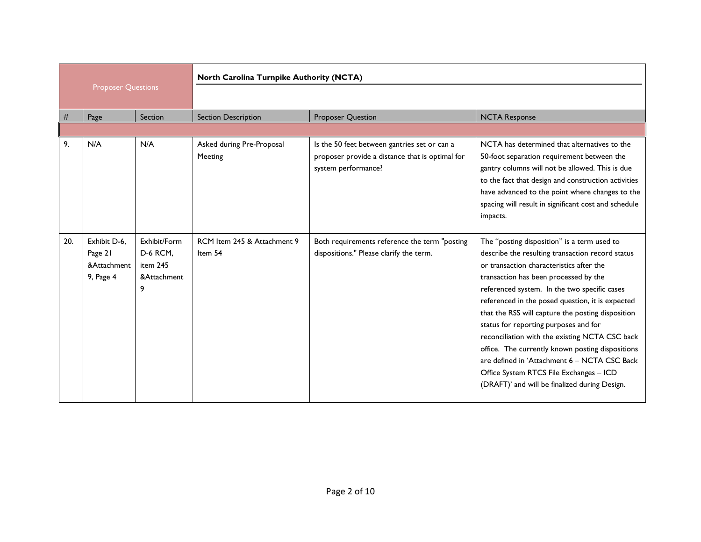|     |                                                     |                                                          | North Carolina Turnpike Authority (NCTA) |                                                                                                                        |                                                                                                                                                                                                                                                                                                                                                                                                                                                                                                                                                                                                                                          |  |
|-----|-----------------------------------------------------|----------------------------------------------------------|------------------------------------------|------------------------------------------------------------------------------------------------------------------------|------------------------------------------------------------------------------------------------------------------------------------------------------------------------------------------------------------------------------------------------------------------------------------------------------------------------------------------------------------------------------------------------------------------------------------------------------------------------------------------------------------------------------------------------------------------------------------------------------------------------------------------|--|
|     | <b>Proposer Questions</b>                           |                                                          |                                          |                                                                                                                        |                                                                                                                                                                                                                                                                                                                                                                                                                                                                                                                                                                                                                                          |  |
| #   | Page                                                | Section                                                  | <b>Section Description</b>               | <b>Proposer Question</b>                                                                                               | <b>NCTA Response</b>                                                                                                                                                                                                                                                                                                                                                                                                                                                                                                                                                                                                                     |  |
|     |                                                     |                                                          |                                          |                                                                                                                        |                                                                                                                                                                                                                                                                                                                                                                                                                                                                                                                                                                                                                                          |  |
| 9.  | N/A                                                 | N/A                                                      | Asked during Pre-Proposal<br>Meeting     | Is the 50 feet between gantries set or can a<br>proposer provide a distance that is optimal for<br>system performance? | NCTA has determined that alternatives to the<br>50-foot separation requirement between the<br>gantry columns will not be allowed. This is due<br>to the fact that design and construction activities<br>have advanced to the point where changes to the<br>spacing will result in significant cost and schedule<br>impacts.                                                                                                                                                                                                                                                                                                              |  |
| 20. | Exhibit D-6,<br>Page 21<br>&Attachment<br>9, Page 4 | Exhibit/Form<br>D-6 RCM,<br>item 245<br>&Attachment<br>9 | RCM Item 245 & Attachment 9<br>Item 54   | Both requirements reference the term "posting<br>dispositions." Please clarify the term.                               | The "posting disposition" is a term used to<br>describe the resulting transaction record status<br>or transaction characteristics after the<br>transaction has been processed by the<br>referenced system. In the two specific cases<br>referenced in the posed question, it is expected<br>that the RSS will capture the posting disposition<br>status for reporting purposes and for<br>reconciliation with the existing NCTA CSC back<br>office. The currently known posting dispositions<br>are defined in 'Attachment 6 - NCTA CSC Back<br>Office System RTCS File Exchanges - ICD<br>(DRAFT)' and will be finalized during Design. |  |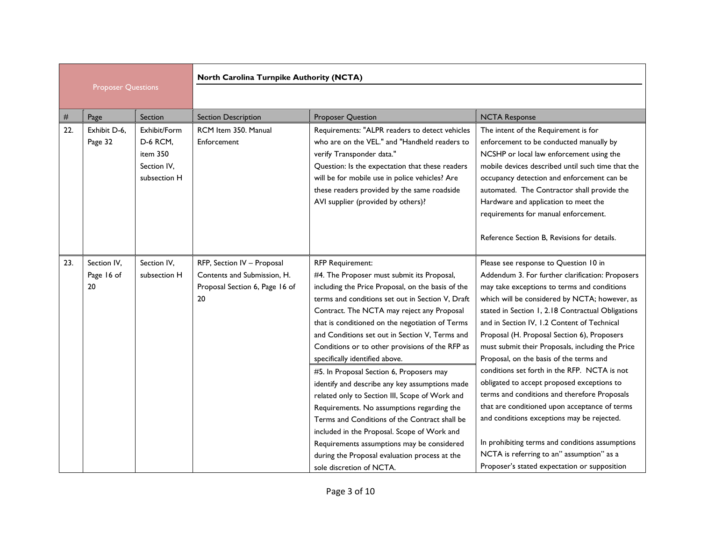|     |                                 |                                                                     | North Carolina Turnpike Authority (NCTA)                                                          |                                                                                                                                                                                                                                                                                                                                                                                                                                                                                                                                                                                                                                                                                                                                                                                                                                                 |                                                                                                                                                                                                                                                                                                                                                                                                                                                                                                                                                                                                                                                                                                                                                                                                                                          |  |
|-----|---------------------------------|---------------------------------------------------------------------|---------------------------------------------------------------------------------------------------|-------------------------------------------------------------------------------------------------------------------------------------------------------------------------------------------------------------------------------------------------------------------------------------------------------------------------------------------------------------------------------------------------------------------------------------------------------------------------------------------------------------------------------------------------------------------------------------------------------------------------------------------------------------------------------------------------------------------------------------------------------------------------------------------------------------------------------------------------|------------------------------------------------------------------------------------------------------------------------------------------------------------------------------------------------------------------------------------------------------------------------------------------------------------------------------------------------------------------------------------------------------------------------------------------------------------------------------------------------------------------------------------------------------------------------------------------------------------------------------------------------------------------------------------------------------------------------------------------------------------------------------------------------------------------------------------------|--|
|     | <b>Proposer Questions</b>       |                                                                     |                                                                                                   |                                                                                                                                                                                                                                                                                                                                                                                                                                                                                                                                                                                                                                                                                                                                                                                                                                                 |                                                                                                                                                                                                                                                                                                                                                                                                                                                                                                                                                                                                                                                                                                                                                                                                                                          |  |
| #   | Page                            | Section                                                             | <b>Section Description</b>                                                                        | <b>Proposer Question</b>                                                                                                                                                                                                                                                                                                                                                                                                                                                                                                                                                                                                                                                                                                                                                                                                                        | <b>NCTA Response</b>                                                                                                                                                                                                                                                                                                                                                                                                                                                                                                                                                                                                                                                                                                                                                                                                                     |  |
| 22. | Exhibit D-6,<br>Page 32         | Exhibit/Form<br>D-6 RCM,<br>item 350<br>Section IV.<br>subsection H | RCM Item 350. Manual<br>Enforcement                                                               | Requirements: "ALPR readers to detect vehicles<br>who are on the VEL." and "Handheld readers to<br>verify Transponder data."<br>Question: Is the expectation that these readers<br>will be for mobile use in police vehicles? Are<br>these readers provided by the same roadside<br>AVI supplier (provided by others)?                                                                                                                                                                                                                                                                                                                                                                                                                                                                                                                          | The intent of the Requirement is for<br>enforcement to be conducted manually by<br>NCSHP or local law enforcement using the<br>mobile devices described until such time that the<br>occupancy detection and enforcement can be<br>automated. The Contractor shall provide the<br>Hardware and application to meet the<br>requirements for manual enforcement.<br>Reference Section B, Revisions for details.                                                                                                                                                                                                                                                                                                                                                                                                                             |  |
| 23. | Section IV,<br>Page 16 of<br>20 | Section IV.<br>subsection H                                         | RFP, Section IV - Proposal<br>Contents and Submission, H.<br>Proposal Section 6, Page 16 of<br>20 | <b>RFP Requirement:</b><br>#4. The Proposer must submit its Proposal,<br>including the Price Proposal, on the basis of the<br>terms and conditions set out in Section V, Draft<br>Contract. The NCTA may reject any Proposal<br>that is conditioned on the negotiation of Terms<br>and Conditions set out in Section V, Terms and<br>Conditions or to other provisions of the RFP as<br>specifically identified above.<br>#5. In Proposal Section 6, Proposers may<br>identify and describe any key assumptions made<br>related only to Section III, Scope of Work and<br>Requirements. No assumptions regarding the<br>Terms and Conditions of the Contract shall be<br>included in the Proposal. Scope of Work and<br>Requirements assumptions may be considered<br>during the Proposal evaluation process at the<br>sole discretion of NCTA. | Please see response to Question 10 in<br>Addendum 3. For further clarification: Proposers<br>may take exceptions to terms and conditions<br>which will be considered by NCTA; however, as<br>stated in Section 1, 2.18 Contractual Obligations<br>and in Section IV, 1.2 Content of Technical<br>Proposal (H. Proposal Section 6), Proposers<br>must submit their Proposals, including the Price<br>Proposal, on the basis of the terms and<br>conditions set forth in the RFP. NCTA is not<br>obligated to accept proposed exceptions to<br>terms and conditions and therefore Proposals<br>that are conditioned upon acceptance of terms<br>and conditions exceptions may be rejected.<br>In prohibiting terms and conditions assumptions<br>NCTA is referring to an" assumption" as a<br>Proposer's stated expectation or supposition |  |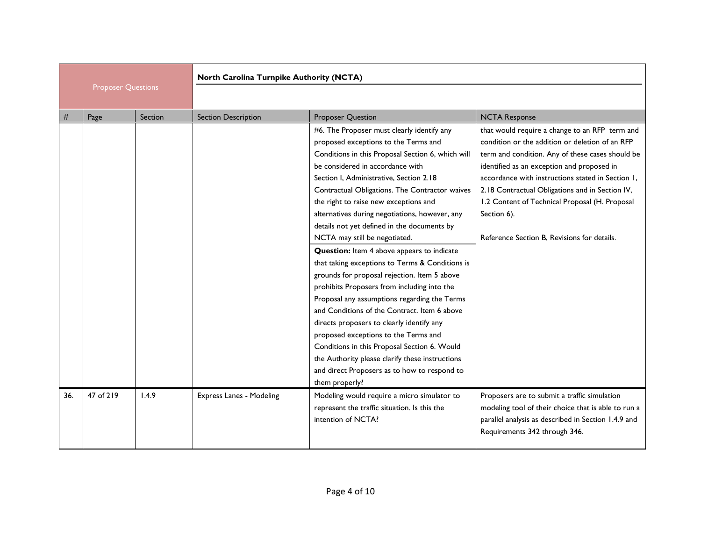|     |                           |         | North Carolina Turnpike Authority (NCTA) |                                                                                                                                                                                                                                                                                                                                                                                                                                                                                                                                                                                                                                                                                                                                                                                                                                                                                                                                                                                                                      |                                                                                                                                                                                                                                                                                                                                                                                                                             |
|-----|---------------------------|---------|------------------------------------------|----------------------------------------------------------------------------------------------------------------------------------------------------------------------------------------------------------------------------------------------------------------------------------------------------------------------------------------------------------------------------------------------------------------------------------------------------------------------------------------------------------------------------------------------------------------------------------------------------------------------------------------------------------------------------------------------------------------------------------------------------------------------------------------------------------------------------------------------------------------------------------------------------------------------------------------------------------------------------------------------------------------------|-----------------------------------------------------------------------------------------------------------------------------------------------------------------------------------------------------------------------------------------------------------------------------------------------------------------------------------------------------------------------------------------------------------------------------|
|     | <b>Proposer Questions</b> |         |                                          |                                                                                                                                                                                                                                                                                                                                                                                                                                                                                                                                                                                                                                                                                                                                                                                                                                                                                                                                                                                                                      |                                                                                                                                                                                                                                                                                                                                                                                                                             |
| #   | Page                      | Section | <b>Section Description</b>               | <b>Proposer Question</b>                                                                                                                                                                                                                                                                                                                                                                                                                                                                                                                                                                                                                                                                                                                                                                                                                                                                                                                                                                                             | <b>NCTA Response</b>                                                                                                                                                                                                                                                                                                                                                                                                        |
|     |                           |         |                                          | #6. The Proposer must clearly identify any<br>proposed exceptions to the Terms and<br>Conditions in this Proposal Section 6, which will<br>be considered in accordance with<br>Section I, Administrative, Section 2.18<br>Contractual Obligations. The Contractor waives<br>the right to raise new exceptions and<br>alternatives during negotiations, however, any<br>details not yet defined in the documents by<br>NCTA may still be negotiated.<br><b>Question:</b> Item 4 above appears to indicate<br>that taking exceptions to Terms & Conditions is<br>grounds for proposal rejection. Item 5 above<br>prohibits Proposers from including into the<br>Proposal any assumptions regarding the Terms<br>and Conditions of the Contract. Item 6 above<br>directs proposers to clearly identify any<br>proposed exceptions to the Terms and<br>Conditions in this Proposal Section 6. Would<br>the Authority please clarify these instructions<br>and direct Proposers as to how to respond to<br>them properly? | that would require a change to an RFP term and<br>condition or the addition or deletion of an RFP<br>term and condition. Any of these cases should be<br>identified as an exception and proposed in<br>accordance with instructions stated in Section 1,<br>2.18 Contractual Obligations and in Section IV,<br>1.2 Content of Technical Proposal (H. Proposal<br>Section 6).<br>Reference Section B. Revisions for details. |
| 36. | 47 of 219                 | 1.4.9   | Express Lanes - Modeling                 | Modeling would require a micro simulator to<br>represent the traffic situation. Is this the<br>intention of NCTA?                                                                                                                                                                                                                                                                                                                                                                                                                                                                                                                                                                                                                                                                                                                                                                                                                                                                                                    | Proposers are to submit a traffic simulation<br>modeling tool of their choice that is able to run a<br>parallel analysis as described in Section 1.4.9 and<br>Requirements 342 through 346.                                                                                                                                                                                                                                 |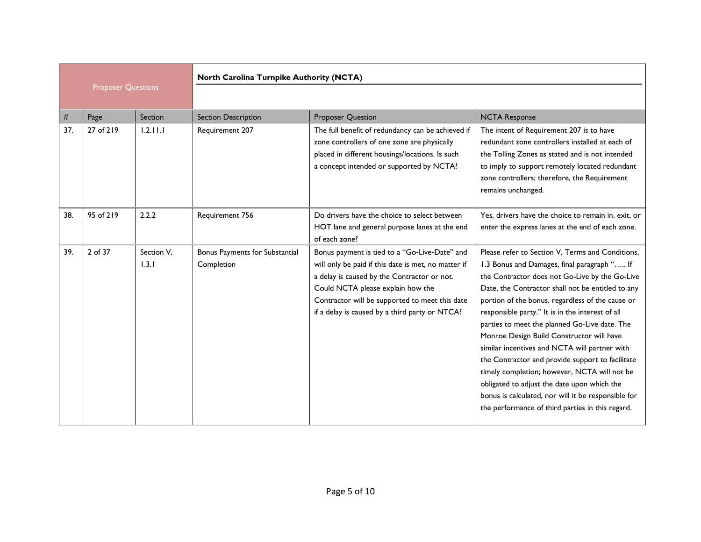|                           |           |                     | North Carolina Turnpike Authority (NCTA)     |                                                                                                                                                                                                                                                                                              |                                                                                                                                                                                                                                                                                                                                                                                                                                                                                                                                                                                                                                                                                                                             |  |
|---------------------------|-----------|---------------------|----------------------------------------------|----------------------------------------------------------------------------------------------------------------------------------------------------------------------------------------------------------------------------------------------------------------------------------------------|-----------------------------------------------------------------------------------------------------------------------------------------------------------------------------------------------------------------------------------------------------------------------------------------------------------------------------------------------------------------------------------------------------------------------------------------------------------------------------------------------------------------------------------------------------------------------------------------------------------------------------------------------------------------------------------------------------------------------------|--|
| <b>Proposer Questions</b> |           |                     |                                              |                                                                                                                                                                                                                                                                                              |                                                                                                                                                                                                                                                                                                                                                                                                                                                                                                                                                                                                                                                                                                                             |  |
| #                         | Page      | Section             | <b>Section Description</b>                   | <b>Proposer Question</b>                                                                                                                                                                                                                                                                     | <b>NCTA Response</b>                                                                                                                                                                                                                                                                                                                                                                                                                                                                                                                                                                                                                                                                                                        |  |
| 37.                       | 27 of 219 | 1.2.11.1            | Requirement 207                              | The full benefit of redundancy can be achieved if<br>zone controllers of one zone are physically<br>placed in different housings/locations. Is such<br>a concept intended or supported by NCTA?                                                                                              | The intent of Requirement 207 is to have<br>redundant zone controllers installed at each of<br>the Tolling Zones as stated and is not intended<br>to imply to support remotely located redundant<br>zone controllers; therefore, the Requirement<br>remains unchanged.                                                                                                                                                                                                                                                                                                                                                                                                                                                      |  |
| 38.                       | 95 of 219 | 2.2.2               | Requirement 756                              | Do drivers have the choice to select between<br>HOT lane and general purpose lanes at the end<br>of each zone?                                                                                                                                                                               | Yes, drivers have the choice to remain in, exit, or<br>enter the express lanes at the end of each zone.                                                                                                                                                                                                                                                                                                                                                                                                                                                                                                                                                                                                                     |  |
| 39.                       | 2 of 37   | Section V,<br>1.3.1 | Bonus Payments for Substantial<br>Completion | Bonus payment is tied to a "Go-Live-Date" and<br>will only be paid if this date is met, no matter if<br>a delay is caused by the Contractor or not.<br>Could NCTA please explain how the<br>Contractor will be supported to meet this date<br>if a delay is caused by a third party or NTCA? | Please refer to Section V, Terms and Conditions,<br>1.3 Bonus and Damages, final paragraph " If<br>the Contractor does not Go-Live by the Go-Live<br>Date, the Contractor shall not be entitled to any<br>portion of the bonus, regardless of the cause or<br>responsible party." It is in the interest of all<br>parties to meet the planned Go-Live date. The<br>Monroe Design Build Constructor will have<br>similar incentives and NCTA will partner with<br>the Contractor and provide support to facilitate<br>timely completion; however, NCTA will not be<br>obligated to adjust the date upon which the<br>bonus is calculated, nor will it be responsible for<br>the performance of third parties in this regard. |  |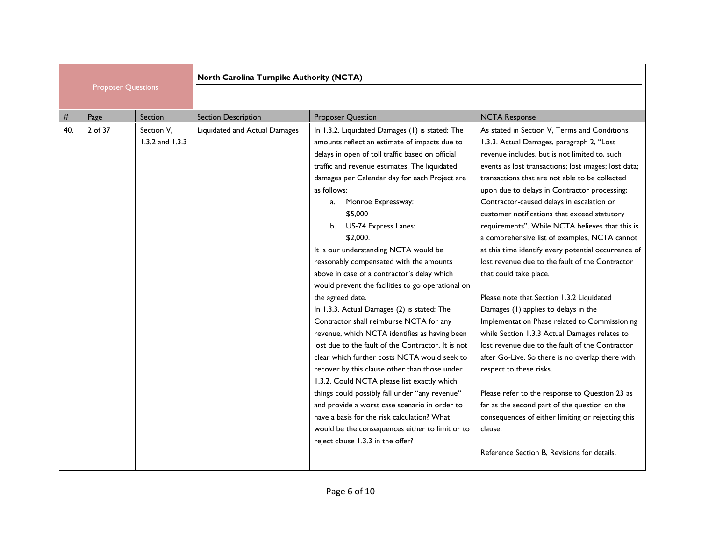|     |                           |                               | North Carolina Turnpike Authority (NCTA) |                                                                                                                                                                                                                                                                                                                                                                                                                                                                                                                                                                                                                                                                                                                                                                                                                                                                                                                                                                                                                                                                                                                                                            |                                                                                                                                                                                                                                                                                                                                                                                                                                                                                                                                                                                                                                                                                                                                                                                                                                                                                                                                                                                                                                                                                                                                                                                       |
|-----|---------------------------|-------------------------------|------------------------------------------|------------------------------------------------------------------------------------------------------------------------------------------------------------------------------------------------------------------------------------------------------------------------------------------------------------------------------------------------------------------------------------------------------------------------------------------------------------------------------------------------------------------------------------------------------------------------------------------------------------------------------------------------------------------------------------------------------------------------------------------------------------------------------------------------------------------------------------------------------------------------------------------------------------------------------------------------------------------------------------------------------------------------------------------------------------------------------------------------------------------------------------------------------------|---------------------------------------------------------------------------------------------------------------------------------------------------------------------------------------------------------------------------------------------------------------------------------------------------------------------------------------------------------------------------------------------------------------------------------------------------------------------------------------------------------------------------------------------------------------------------------------------------------------------------------------------------------------------------------------------------------------------------------------------------------------------------------------------------------------------------------------------------------------------------------------------------------------------------------------------------------------------------------------------------------------------------------------------------------------------------------------------------------------------------------------------------------------------------------------|
|     | <b>Proposer Questions</b> |                               |                                          |                                                                                                                                                                                                                                                                                                                                                                                                                                                                                                                                                                                                                                                                                                                                                                                                                                                                                                                                                                                                                                                                                                                                                            |                                                                                                                                                                                                                                                                                                                                                                                                                                                                                                                                                                                                                                                                                                                                                                                                                                                                                                                                                                                                                                                                                                                                                                                       |
| #   | Page                      | Section                       | <b>Section Description</b>               | <b>Proposer Question</b>                                                                                                                                                                                                                                                                                                                                                                                                                                                                                                                                                                                                                                                                                                                                                                                                                                                                                                                                                                                                                                                                                                                                   | <b>NCTA Response</b>                                                                                                                                                                                                                                                                                                                                                                                                                                                                                                                                                                                                                                                                                                                                                                                                                                                                                                                                                                                                                                                                                                                                                                  |
| 40. | 2 of 37                   | Section V,<br>1.3.2 and 1.3.3 | Liquidated and Actual Damages            | In 1.3.2. Liquidated Damages (1) is stated: The<br>amounts reflect an estimate of impacts due to<br>delays in open of toll traffic based on official<br>traffic and revenue estimates. The liquidated<br>damages per Calendar day for each Project are<br>as follows:<br>Monroe Expressway:<br>a.<br>\$5,000<br>b. US-74 Express Lanes:<br>\$2,000.<br>It is our understanding NCTA would be<br>reasonably compensated with the amounts<br>above in case of a contractor's delay which<br>would prevent the facilities to go operational on<br>the agreed date.<br>In 1.3.3. Actual Damages (2) is stated: The<br>Contractor shall reimburse NCTA for any<br>revenue, which NCTA identifies as having been<br>lost due to the fault of the Contractor. It is not<br>clear which further costs NCTA would seek to<br>recover by this clause other than those under<br>1.3.2. Could NCTA please list exactly which<br>things could possibly fall under "any revenue"<br>and provide a worst case scenario in order to<br>have a basis for the risk calculation? What<br>would be the consequences either to limit or to<br>reject clause 1.3.3 in the offer? | As stated in Section V, Terms and Conditions,<br>1.3.3. Actual Damages, paragraph 2, "Lost<br>revenue includes, but is not limited to, such<br>events as lost transactions; lost images; lost data;<br>transactions that are not able to be collected<br>upon due to delays in Contractor processing;<br>Contractor-caused delays in escalation or<br>customer notifications that exceed statutory<br>requirements". While NCTA believes that this is<br>a comprehensive list of examples, NCTA cannot<br>at this time identify every potential occurrence of<br>lost revenue due to the fault of the Contractor<br>that could take place.<br>Please note that Section 1.3.2 Liquidated<br>Damages (1) applies to delays in the<br>Implementation Phase related to Commissioning<br>while Section 1.3.3 Actual Damages relates to<br>lost revenue due to the fault of the Contractor<br>after Go-Live. So there is no overlap there with<br>respect to these risks.<br>Please refer to the response to Question 23 as<br>far as the second part of the question on the<br>consequences of either limiting or rejecting this<br>clause.<br>Reference Section B. Revisions for details. |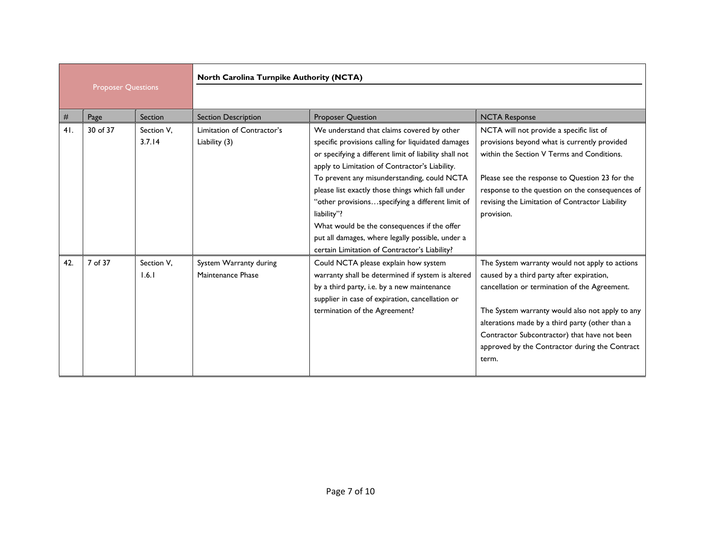|     | <b>Proposer Questions</b> |                      | North Carolina Turnpike Authority (NCTA)    |                                                                                                                                                                                                                                                                                                                                                                                                                                                                                                                                         |                                                                                                                                                                                                                                                                                                                                                               |
|-----|---------------------------|----------------------|---------------------------------------------|-----------------------------------------------------------------------------------------------------------------------------------------------------------------------------------------------------------------------------------------------------------------------------------------------------------------------------------------------------------------------------------------------------------------------------------------------------------------------------------------------------------------------------------------|---------------------------------------------------------------------------------------------------------------------------------------------------------------------------------------------------------------------------------------------------------------------------------------------------------------------------------------------------------------|
|     |                           |                      |                                             |                                                                                                                                                                                                                                                                                                                                                                                                                                                                                                                                         |                                                                                                                                                                                                                                                                                                                                                               |
| #   | Page                      | Section              | <b>Section Description</b>                  | <b>Proposer Question</b>                                                                                                                                                                                                                                                                                                                                                                                                                                                                                                                | <b>NCTA Response</b>                                                                                                                                                                                                                                                                                                                                          |
| 41. | 30 of 37                  | Section V.<br>3.7.14 | Limitation of Contractor's<br>Liability (3) | We understand that claims covered by other<br>specific provisions calling for liquidated damages<br>or specifying a different limit of liability shall not<br>apply to Limitation of Contractor's Liability.<br>To prevent any misunderstanding, could NCTA<br>please list exactly those things which fall under<br>"other provisionsspecifying a different limit of<br>liability"?<br>What would be the consequences if the offer<br>put all damages, where legally possible, under a<br>certain Limitation of Contractor's Liability? | NCTA will not provide a specific list of<br>provisions beyond what is currently provided<br>within the Section V Terms and Conditions.<br>Please see the response to Question 23 for the<br>response to the question on the consequences of<br>revising the Limitation of Contractor Liability<br>provision.                                                  |
| 42. | 7 of 37                   | Section V.<br>1.6.1  | System Warranty during<br>Maintenance Phase | Could NCTA please explain how system<br>warranty shall be determined if system is altered<br>by a third party, i.e. by a new maintenance<br>supplier in case of expiration, cancellation or<br>termination of the Agreement?                                                                                                                                                                                                                                                                                                            | The System warranty would not apply to actions<br>caused by a third party after expiration,<br>cancellation or termination of the Agreement.<br>The System warranty would also not apply to any<br>alterations made by a third party (other than a<br>Contractor Subcontractor) that have not been<br>approved by the Contractor during the Contract<br>term. |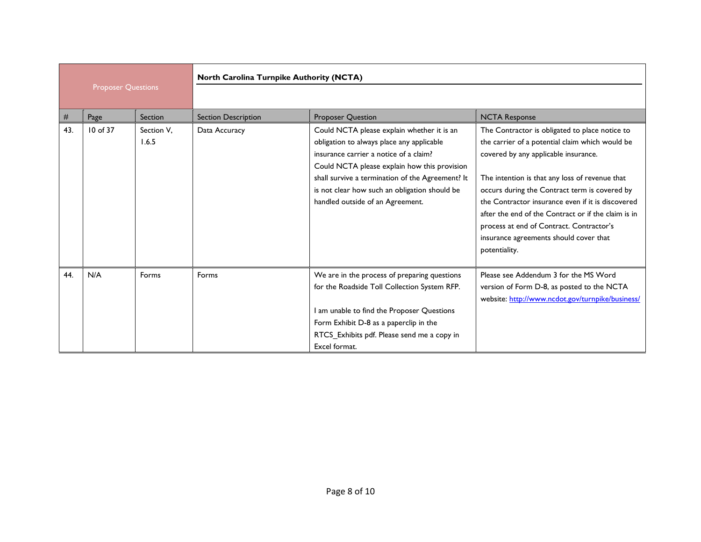|                           |          |                     | North Carolina Turnpike Authority (NCTA) |                                                                                                                                                                                                                                                                                                                            |                                                                                                                                                                                                                                                                                                                                                                                                                                                                 |
|---------------------------|----------|---------------------|------------------------------------------|----------------------------------------------------------------------------------------------------------------------------------------------------------------------------------------------------------------------------------------------------------------------------------------------------------------------------|-----------------------------------------------------------------------------------------------------------------------------------------------------------------------------------------------------------------------------------------------------------------------------------------------------------------------------------------------------------------------------------------------------------------------------------------------------------------|
| <b>Proposer Questions</b> |          |                     |                                          |                                                                                                                                                                                                                                                                                                                            |                                                                                                                                                                                                                                                                                                                                                                                                                                                                 |
| #                         | Page     | Section             | <b>Section Description</b>               | Proposer Question                                                                                                                                                                                                                                                                                                          | <b>NCTA Response</b>                                                                                                                                                                                                                                                                                                                                                                                                                                            |
| 43.                       | 10 of 37 | Section V.<br>1.6.5 | Data Accuracy                            | Could NCTA please explain whether it is an<br>obligation to always place any applicable<br>insurance carrier a notice of a claim?<br>Could NCTA please explain how this provision<br>shall survive a termination of the Agreement? It<br>is not clear how such an obligation should be<br>handled outside of an Agreement. | The Contractor is obligated to place notice to<br>the carrier of a potential claim which would be<br>covered by any applicable insurance.<br>The intention is that any loss of revenue that<br>occurs during the Contract term is covered by<br>the Contractor insurance even if it is discovered<br>after the end of the Contract or if the claim is in<br>process at end of Contract. Contractor's<br>insurance agreements should cover that<br>potentiality. |
| 44.                       | N/A      | Forms               | Forms                                    | We are in the process of preparing questions<br>for the Roadside Toll Collection System RFP.<br>I am unable to find the Proposer Questions<br>Form Exhibit D-8 as a paperclip in the<br>RTCS_Exhibits pdf. Please send me a copy in<br>Excel format.                                                                       | Please see Addendum 3 for the MS Word<br>version of Form D-8, as posted to the NCTA<br>website: http://www.ncdot.gov/turnpike/business/                                                                                                                                                                                                                                                                                                                         |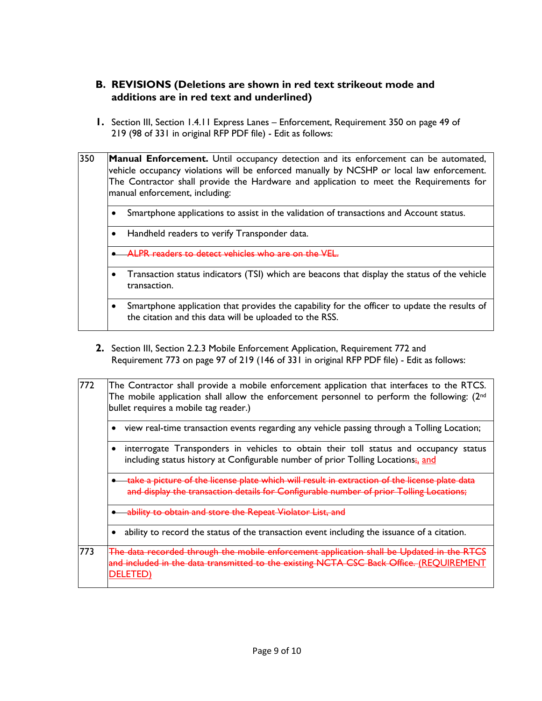### **B. REVISIONS (Deletions are shown in red text strikeout mode and additions are in red text and underlined)**

**1.** Section III, Section 1.4.11 Express Lanes – Enforcement, Requirement 350 on page 49 of 219 (98 of 331 in original RFP PDF file) - Edit as follows:

| 350 | <b>Manual Enforcement.</b> Until occupancy detection and its enforcement can be automated, |
|-----|--------------------------------------------------------------------------------------------|
|     | vehicle occupancy violations will be enforced manually by NCSHP or local law enforcement.  |
|     | The Contractor shall provide the Hardware and application to meet the Requirements for     |
|     | manual enforcement, including:                                                             |
|     |                                                                                            |

- Smartphone applications to assist in the validation of transactions and Account status.
- Handheld readers to verify Transponder data.
- ALPR readers to detect vehicles who are on the VEL.
- Transaction status indicators (TSI) which are beacons that display the status of the vehicle transaction.
- Smartphone application that provides the capability for the officer to update the results of the citation and this data will be uploaded to the RSS.
- **2.** Section III, Section 2.2.3 Mobile Enforcement Application, Requirement 772 and Requirement 773 on page 97 of 219 (146 of 331 in original RFP PDF file) - Edit as follows:

| 772 | The Contractor shall provide a mobile enforcement application that interfaces to the RTCS.<br>The mobile application shall allow the enforcement personnel to perform the following: $(2^{nd}$<br>bullet requires a mobile tag reader.) |
|-----|-----------------------------------------------------------------------------------------------------------------------------------------------------------------------------------------------------------------------------------------|
|     | view real-time transaction events regarding any vehicle passing through a Tolling Location;                                                                                                                                             |
|     | interrogate Transponders in vehicles to obtain their toll status and occupancy status<br>including status history at Configurable number of prior Tolling Locations; and                                                                |
|     | the license plate which will result in extraction of the<br>and display the transaction details for Configurable number of prior Tolling Locations;                                                                                     |
|     | obtain and store the Repeat Violator List                                                                                                                                                                                               |
|     | ability to record the status of the transaction event including the issuance of a citation.                                                                                                                                             |
| 773 | <u>rded through the mobile enforcement application shall be Updated in </u><br>transmitted to the existing NCTA CSC Back Office. (REQUIREMENT<br>DELET                                                                                  |